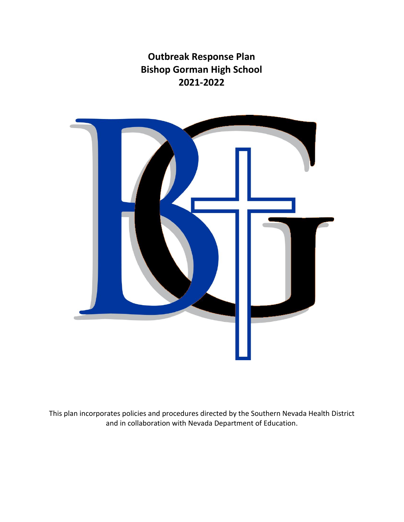**Outbreak Response Plan Bishop Gorman High School 2021-2022**



This plan incorporates policies and procedures directed by the Southern Nevada Health District and in collaboration with Nevada Department of Education.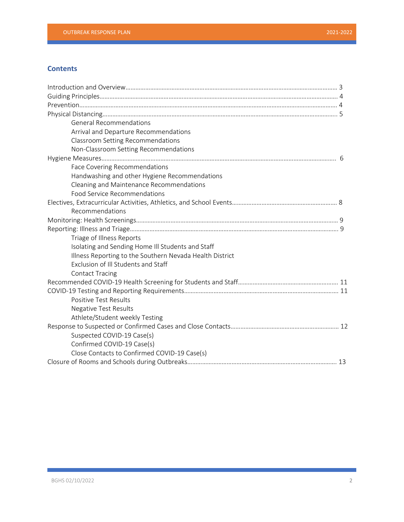# **Contents**

| <b>General Recommendations</b>                           |  |
|----------------------------------------------------------|--|
| Arrival and Departure Recommendations                    |  |
| <b>Classroom Setting Recommendations</b>                 |  |
| Non-Classroom Setting Recommendations                    |  |
|                                                          |  |
| Face Covering Recommendations                            |  |
| Handwashing and other Hygiene Recommendations            |  |
| Cleaning and Maintenance Recommendations                 |  |
| <b>Food Service Recommendations</b>                      |  |
|                                                          |  |
| Recommendations                                          |  |
|                                                          |  |
|                                                          |  |
| Triage of Illness Reports                                |  |
| Isolating and Sending Home Ill Students and Staff        |  |
| Illness Reporting to the Southern Nevada Health District |  |
| Exclusion of Ill Students and Staff                      |  |
| <b>Contact Tracing</b>                                   |  |
|                                                          |  |
|                                                          |  |
| <b>Positive Test Results</b>                             |  |
| <b>Negative Test Results</b>                             |  |
| Athlete/Student weekly Testing                           |  |
|                                                          |  |
| Suspected COVID-19 Case(s)                               |  |
| Confirmed COVID-19 Case(s)                               |  |
| Close Contacts to Confirmed COVID-19 Case(s)             |  |
|                                                          |  |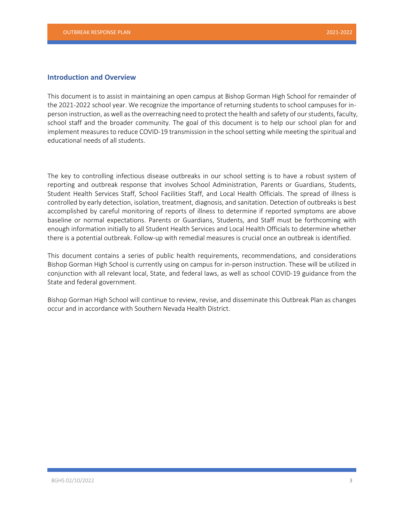# **Introduction and Overview**

This document is to assist in maintaining an open campus at Bishop Gorman High School for remainder of the 2021-2022 school year. We recognize the importance of returning students to school campuses for inperson instruction, as well as the overreaching need to protect the health and safety of our students, faculty, school staff and the broader community. The goal of this document is to help our school plan for and implement measures to reduce COVID-19 transmission in the school setting while meeting the spiritual and educational needs of all students.

The key to controlling infectious disease outbreaks in our school setting is to have a robust system of reporting and outbreak response that involves School Administration, Parents or Guardians, Students, Student Health Services Staff, School Facilities Staff, and Local Health Officials. The spread of illness is controlled by early detection, isolation, treatment, diagnosis, and sanitation. Detection of outbreaks is best accomplished by careful monitoring of reports of illness to determine if reported symptoms are above baseline or normal expectations. Parents or Guardians, Students, and Staff must be forthcoming with enough information initially to all Student Health Services and Local Health Officials to determine whether there is a potential outbreak. Follow-up with remedial measures is crucial once an outbreak is identified.

This document contains a series of public health requirements, recommendations, and considerations Bishop Gorman High School is currently using on campus for in-person instruction. These will be utilized in conjunction with all relevant local, State, and federal laws, as well as school COVID-19 guidance from the State and federal government.

Bishop Gorman High School will continue to review, revise, and disseminate this Outbreak Plan as changes occur and in accordance with Southern Nevada Health District.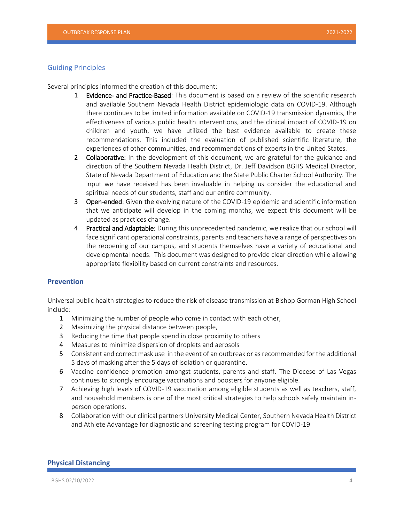#### Guiding Principles

Several principles informed the creation of this document:

- 1 Evidence- and Practice-Based: This document is based on a review of the scientific research and available Southern Nevada Health District epidemiologic data on COVID-19. Although there continues to be limited information available on COVID-19 transmission dynamics, the effectiveness of various public health interventions, and the clinical impact of COVID-19 on children and youth, we have utilized the best evidence available to create these recommendations. This included the evaluation of published scientific literature, the experiences of other communities, and recommendations of experts in the United States.
- 2 Collaborative: In the development of this document, we are grateful for the guidance and direction of the Southern Nevada Health District, Dr. Jeff Davidson BGHS Medical Director, State of Nevada Department of Education and the State Public Charter School Authority. The input we have received has been invaluable in helping us consider the educational and spiritual needs of our students, staff and our entire community.
- **3** Open-ended: Given the evolving nature of the COVID-19 epidemic and scientific information that we anticipate will develop in the coming months, we expect this document will be updated as practices change.
- 4 Practical and Adaptable: During this unprecedented pandemic, we realize that our school will face significant operational constraints, parents and teachers have a range of perspectives on the reopening of our campus, and students themselves have a variety of educational and developmental needs. This document was designed to provide clear direction while allowing appropriate flexibility based on current constraints and resources.

### **Prevention**

Universal public health strategies to reduce the risk of disease transmission at Bishop Gorman High School include:

- 1 Minimizing the number of people who come in contact with each other,
- 2 Maximizing the physical distance between people,
- 3 Reducing the time that people spend in close proximity to others
- 4 Measures to minimize dispersion of droplets and aerosols
- 5 Consistent and correct mask use in the event of an outbreak or as recommended for the additional 5 days of masking after the 5 days of isolation or quarantine.
- 6 Vaccine confidence promotion amongst students, parents and staff. The Diocese of Las Vegas continues to strongly encourage vaccinations and boosters for anyone eligible.
- 7 Achieving high levels of COVID-19 vaccination among eligible students as well as teachers, staff, and household members is one of the most critical strategies to help schools safely maintain inperson operations.
- 8 Collaboration with our clinical partners University Medical Center, Southern Nevada Health District and Athlete Advantage for diagnostic and screening testing program for COVID-19

#### **Physical Distancing**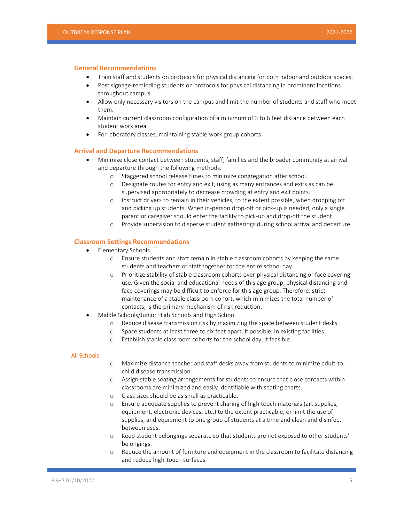#### **General Recommendations**

- Train staff and students on protocols for physical distancing for both indoor and outdoor spaces.
- Post signage-reminding students on protocols for physical distancing in prominent locations throughout campus.
- Allow only necessary visitors on the campus and limit the number of students and staff who meet them.
- Maintain current classroom configuration of a minimum of 3 to 6 feet distance between each student work area.
- For laboratory classes, maintaining stable work group cohorts

#### **Arrival and Departure Recommendations**

- Minimize close contact between students, staff, families and the broader community at arrival and departure through the following methods:
	- o Staggered school release times to minimize congregation after school.
	- o Designate routes for entry and exit, using as many entrances and exits as can be supervised appropriately to decrease crowding at entry and exit points.
	- o Instruct drivers to remain in their vehicles, to the extent possible, when dropping off and picking up students. When in-person drop-off or pick-up is needed, only a single parent or caregiver should enter the facility to pick-up and drop-off the student.
	- o Provide supervision to disperse student gatherings during school arrival and departure.

#### **Classroom Settings Recommendations**

- Elementary Schools
	- o Ensure students and staff remain in stable classroom cohorts by keeping the same students and teachers or staff together for the entire school day.
	- o Prioritize stability of stable classroom cohorts over physical distancing or face covering use. Given the social and educational needs of this age group, physical distancing and face coverings may be difficult to enforce for this age group. Therefore, strict maintenance of a stable classroom cohort, which minimizes the total number of contacts, is the primary mechanism of risk reduction.
- Middle Schools/Junior High Schools and High School
	- o Reduce disease transmission risk by maximizing the space between student desks.
	- o Space students at least three to six feet apart, if possible, in existing facilities.
	- o Establish stable classroom cohorts for the school day, if feasible.

#### All Schools

- o Maximize distance teacher and staff desks away from students to minimize adult-tochild disease transmission.
- o Assign stable seating arrangements for students to ensure that close contacts within classrooms are minimized and easily identifiable with seating charts.
- o Class sizes should be as small as practicable.
- o Ensure adequate supplies to prevent sharing of high touch materials (art supplies, equipment, electronic devices, etc.) to the extent practicable, or limit the use of supplies, and equipment to one group of students at a time and clean and disinfect between uses.
- o Keep student belongings separate so that students are not exposed to other students' belongings.
- o Reduce the amount of furniture and equipment in the classroom to facilitate distancing and reduce high-touch surfaces.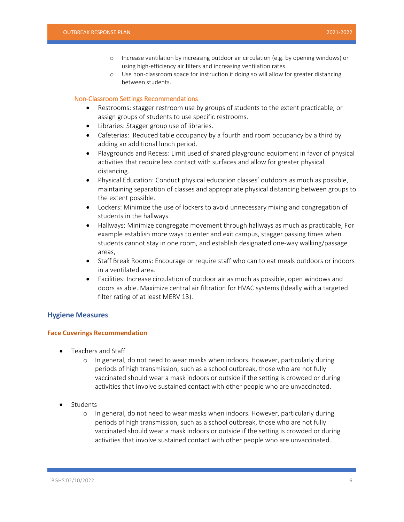- o Increase ventilation by increasing outdoor air circulation (e.g. by opening windows) or using high-efficiency air filters and increasing ventilation rates.
- o Use non-classroom space for instruction if doing so will allow for greater distancing between students.

#### Non-Classroom Settings Recommendations

- Restrooms: stagger restroom use by groups of students to the extent practicable, or assign groups of students to use specific restrooms.
- Libraries: Stagger group use of libraries.
- Cafeterias: Reduced table occupancy by a fourth and room occupancy by a third by adding an additional lunch period.
- Playgrounds and Recess: Limit used of shared playground equipment in favor of physical activities that require less contact with surfaces and allow for greater physical distancing.
- Physical Education: Conduct physical education classes' outdoors as much as possible, maintaining separation of classes and appropriate physical distancing between groups to the extent possible.
- Lockers: Minimize the use of lockers to avoid unnecessary mixing and congregation of students in the hallways.
- Hallways: Minimize congregate movement through hallways as much as practicable, For example establish more ways to enter and exit campus, stagger passing times when students cannot stay in one room, and establish designated one-way walking/passage areas,
- Staff Break Rooms: Encourage or require staff who can to eat meals outdoors or indoors in a ventilated area.
- Facilities: Increase circulation of outdoor air as much as possible, open windows and doors as able. Maximize central air filtration for HVAC systems (Ideally with a targeted filter rating of at least MERV 13).

### **Hygiene Measures**

### **Face Coverings Recommendation**

- Teachers and Staff
	- o In general, do not need to wear masks when indoors. However, particularly during periods of high transmission, such as a school outbreak, those who are not fully vaccinated should wear a mask indoors or outside if the setting is crowded or during activities that involve sustained contact with other people who are unvaccinated.
- Students
	- o In general, do not need to wear masks when indoors. However, particularly during periods of high transmission, such as a school outbreak, those who are not fully vaccinated should wear a mask indoors or outside if the setting is crowded or during activities that involve sustained contact with other people who are unvaccinated.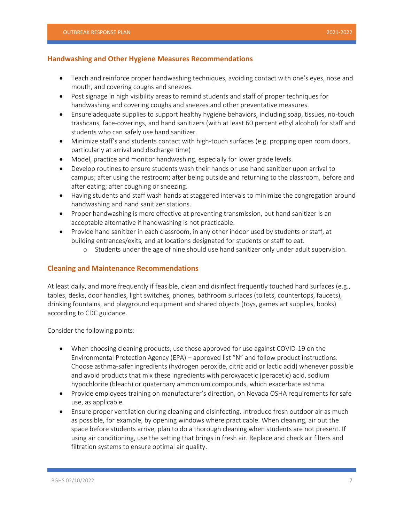### **Handwashing and Other Hygiene Measures Recommendations**

- Teach and reinforce proper handwashing techniques, avoiding contact with one's eyes, nose and mouth, and covering coughs and sneezes.
- Post signage in high visibility areas to remind students and staff of proper techniques for handwashing and covering coughs and sneezes and other preventative measures.
- Ensure adequate supplies to support healthy hygiene behaviors, including soap, tissues, no-touch trashcans, face-coverings, and hand sanitizers (with at least 60 percent ethyl alcohol) for staff and students who can safely use hand sanitizer.
- Minimize staff's and students contact with high-touch surfaces (e.g. propping open room doors, particularly at arrival and discharge time)
- Model, practice and monitor handwashing, especially for lower grade levels.
- Develop routines to ensure students wash their hands or use hand sanitizer upon arrival to campus; after using the restroom; after being outside and returning to the classroom, before and after eating; after coughing or sneezing.
- Having students and staff wash hands at staggered intervals to minimize the congregation around handwashing and hand sanitizer stations.
- Proper handwashing is more effective at preventing transmission, but hand sanitizer is an acceptable alternative if handwashing is not practicable.
- Provide hand sanitizer in each classroom, in any other indoor used by students or staff, at building entrances/exits, and at locations designated for students or staff to eat.
	- o Students under the age of nine should use hand sanitizer only under adult supervision.

# **Cleaning and Maintenance Recommendations**

At least daily, and more frequently if feasible, clean and disinfect frequently touched hard surfaces (e.g., tables, desks, door handles, light switches, phones, bathroom surfaces (toilets, countertops, faucets), drinking fountains, and playground equipment and shared objects (toys, games art supplies, books) according to CDC guidance.

Consider the following points:

- When choosing cleaning products, use those approved for use against COVID-19 on the Environmental Protection Agency (EPA) – approved list "N" and follow product instructions. Choose asthma-safer ingredients (hydrogen peroxide, citric acid or lactic acid) whenever possible and avoid products that mix these ingredients with peroxyacetic (peracetic) acid, sodium hypochlorite (bleach) or quaternary ammonium compounds, which exacerbate asthma.
- Provide employees training on manufacturer's direction, on Nevada OSHA requirements for safe use, as applicable.
- Ensure proper ventilation during cleaning and disinfecting. Introduce fresh outdoor air as much as possible, for example, by opening windows where practicable. When cleaning, air out the space before students arrive, plan to do a thorough cleaning when students are not present. If using air conditioning, use the setting that brings in fresh air. Replace and check air filters and filtration systems to ensure optimal air quality.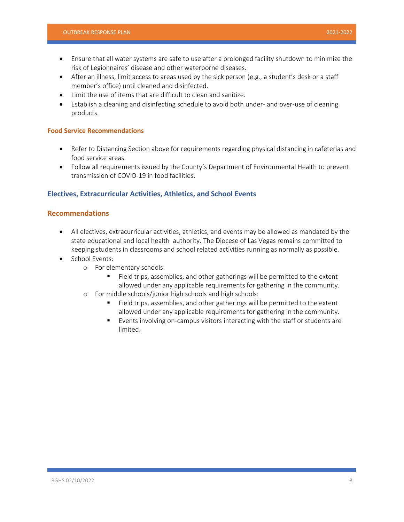- Ensure that all water systems are safe to use after a prolonged facility shutdown to minimize the risk of Legionnaires' disease and other waterborne diseases.
- After an illness, limit access to areas used by the sick person (e.g., a student's desk or a staff member's office) until cleaned and disinfected.
- Limit the use of items that are difficult to clean and sanitize.
- Establish a cleaning and disinfecting schedule to avoid both under- and over-use of cleaning products.

#### **Food Service Recommendations**

- Refer to Distancing Section above for requirements regarding physical distancing in cafeterias and food service areas.
- Follow all requirements issued by the County's Department of Environmental Health to prevent transmission of COVID-19 in food facilities.

## **Electives, Extracurricular Activities, Athletics, and School Events**

## **Recommendations**

- All electives, extracurricular activities, athletics, and events may be allowed as mandated by the state educational and local health authority. The Diocese of Las Vegas remains committed to keeping students in classrooms and school related activities running as normally as possible.
- School Events:
	- o For elementary schools:
		- Field trips, assemblies, and other gatherings will be permitted to the extent allowed under any applicable requirements for gathering in the community.
	- o For middle schools/junior high schools and high schools:
		- Field trips, assemblies, and other gatherings will be permitted to the extent allowed under any applicable requirements for gathering in the community.
		- Events involving on-campus visitors interacting with the staff or students are limited.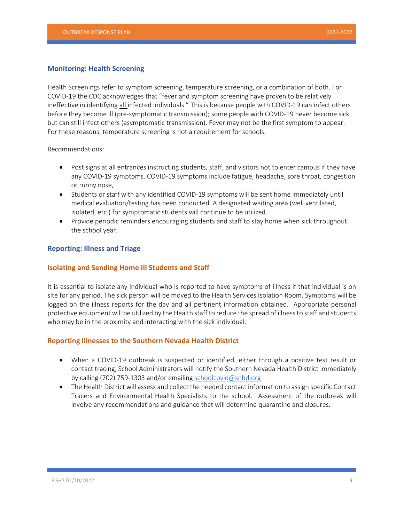### **Monitoring: Health Screening**

Health Screenings refer to symptom screening, temperature screening, or a combination of both. For COVID-19 the CDC acknowledges that "fever and symptom screening have proven to be relatively ineffective in identifying all infected individuals." This is because people with COVID-19 can infect others before they become ill (pre-symptomatic transmission); some people with COVID-19 never become sick but can still infect others (asymptomatic transmission). Fever may not be the first symptom to appear. For these reasons, temperature screening is not a requirement for schools.

Recommendations:

- Post signs at all entrances instructing students, staff, and visitors not to enter campus if they have any COVID-19 symptoms. COVID-19 symptoms include fatigue, headache, sore throat, congestion or runny nose,
- Students or staff with any identified COVID-19 symptoms will be sent home immediately until medical evaluation/testing has been conducted. A designated waiting area (well ventilated, isolated, etc.) for symptomatic students will continue to be utilized.
- Provide periodic reminders encouraging students and staff to stay home when sick throughout the school year.

### **Reporting: Illness and Triage**

### **Isolating and Sending Home Ill Students and Staff**

It is essential to isolate any individual who is reported to have symptoms of illness if that individual is on site for any period. The sick person will be moved to the Health Services Isolation Room. Symptoms will be logged on the illness reports for the day and all pertinent information obtained. Appropriate personal protective equipment will be utilized by the Health staff to reduce the spread of illness to staff and students who may be in the proximity and interacting with the sick individual.

# **Reporting Illnesses to the Southern Nevada Health District**

- When a COVID-19 outbreak is suspected or identified, either through a positive test result or contact tracing, School Administrators will notify the Southern Nevada Health District immediately by calling (702) 759-1303 and/or emailing schoolcovid@snhd.org
- The Health District will assess and collect the needed contact information to assign specific Contact Tracers and Environmental Health Specialists to the school. Assessment of the outbreak will involve any recommendations and guidance that will determine quarantine and closures.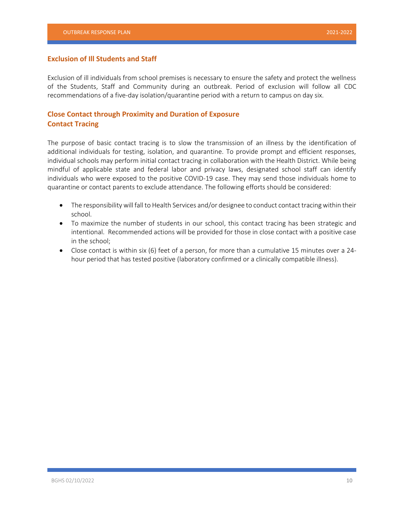### **Exclusion of Ill Students and Staff**

Exclusion of ill individuals from school premises is necessary to ensure the safety and protect the wellness of the Students, Staff and Community during an outbreak. Period of exclusion will follow all CDC recommendations of a five-day isolation/quarantine period with a return to campus on day six.

# **Close Contact through Proximity and Duration of Exposure Contact Tracing**

The purpose of basic contact tracing is to slow the transmission of an illness by the identification of additional individuals for testing, isolation, and quarantine. To provide prompt and efficient responses, individual schools may perform initial contact tracing in collaboration with the Health District. While being mindful of applicable state and federal labor and privacy laws, designated school staff can identify individuals who were exposed to the positive COVID-19 case. They may send those individuals home to quarantine or contact parents to exclude attendance. The following efforts should be considered:

- The responsibility will fall to Health Services and/or designee to conduct contact tracing within their school.
- To maximize the number of students in our school, this contact tracing has been strategic and intentional. Recommended actions will be provided for those in close contact with a positive case in the school;
- Close contact is within six (6) feet of a person, for more than a cumulative 15 minutes over a 24 hour period that has tested positive (laboratory confirmed or a clinically compatible illness).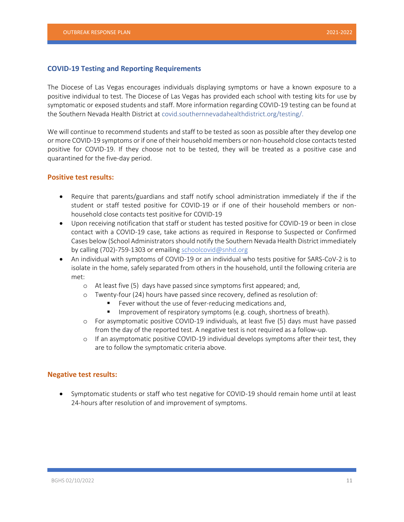# **COVID-19 Testing and Reporting Requirements**

The Diocese of Las Vegas encourages individuals displaying symptoms or have a known exposure to a positive individual to test. The Diocese of Las Vegas has provided each school with testing kits for use by symptomatic or exposed students and staff. More information regarding COVID-19 testing can be found at the Southern Nevada Health District at covid.southernnevadahealthdistrict.org/testing/.

We will continue to recommend students and staff to be tested as soon as possible after they develop one or more COVID-19 symptoms or if one of their household members or non-household close contacts tested positive for COVID-19. If they choose not to be tested, they will be treated as a positive case and quarantined for the five-day period.

## **Positive test results:**

- Require that parents/guardians and staff notify school administration immediately if the if the student or staff tested positive for COVID-19 or if one of their household members or nonhousehold close contacts test positive for COVID-19
- Upon receiving notification that staff or student has tested positive for COVID-19 or been in close contact with a COVID-19 case, take actions as required in Response to Suspected or Confirmed Cases below (School Administrators should notify the Southern Nevada Health District immediately by calling (702)-759-1303 or emailing schoolcovid@snhd.org
- An individual with symptoms of COVID-19 or an individual who tests positive for SARS-CoV-2 is to isolate in the home, safely separated from others in the household, until the following criteria are met:
	- o At least five (5) days have passed since symptoms first appeared; and,
	- o Twenty-four (24) hours have passed since recovery, defined as resolution of:
		- Fever without the use of fever-reducing medications and,
		- **IMPROMEDIAT IMPLE 15 IMPLE 15 IMPLE 15 IMPLE 15 IMPLE 15 IMPLE 15 IMPLE 16 IMPLE 16 IMPLE 16 IMPLE 16 IMPLE 16**
	- o For asymptomatic positive COVID-19 individuals, at least five (5) days must have passed from the day of the reported test. A negative test is not required as a follow-up.
	- $\circ$  If an asymptomatic positive COVID-19 individual develops symptoms after their test, they are to follow the symptomatic criteria above.

#### **Negative test results:**

 Symptomatic students or staff who test negative for COVID-19 should remain home until at least 24-hours after resolution of and improvement of symptoms.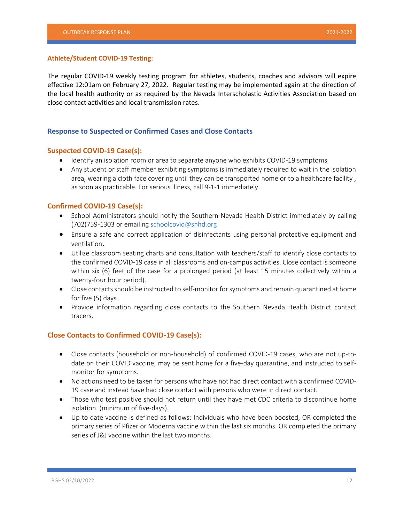#### **Athlete/Student COVID-19 Testing:**

The regular COVID-19 weekly testing program for athletes, students, coaches and advisors will expire effective 12:01am on February 27, 2022. Regular testing may be implemented again at the direction of the local health authority or as required by the Nevada Interscholastic Activities Association based on close contact activities and local transmission rates.

### **Response to Suspected or Confirmed Cases and Close Contacts**

#### **Suspected COVID-19 Case(s):**

- $\bullet$  Identify an isolation room or area to separate anyone who exhibits COVID-19 symptoms
- Any student or staff member exhibiting symptoms is immediately required to wait in the isolation area, wearing a cloth face covering until they can be transported home or to a healthcare facility, as soon as practicable. For serious illness, call 9-1-1 immediately.

### **Confirmed COVID-19 Case(s):**

- School Administrators should notify the Southern Nevada Health District immediately by calling (702)759-1303 or emailing schoolcovid@snhd.org
- Ensure a safe and correct application of disinfectants using personal protective equipment and ventilation**.**
- Utilize classroom seating charts and consultation with teachers/staff to identify close contacts to the confirmed COVID-19 case in all classrooms and on-campus activities. Close contact is someone within six (6) feet of the case for a prolonged period (at least 15 minutes collectively within a twenty-four hour period).
- Close contacts should be instructed to self-monitor for symptoms and remain quarantined at home for five (5) days.
- Provide information regarding close contacts to the Southern Nevada Health District contact tracers.

### **Close Contacts to Confirmed COVID-19 Case(s):**

- Close contacts (household or non-household) of confirmed COVID-19 cases, who are not up-todate on their COVID vaccine, may be sent home for a five-day quarantine, and instructed to selfmonitor for symptoms.
- No actions need to be taken for persons who have not had direct contact with a confirmed COVID-19 case and instead have had close contact with persons who were in direct contact.
- Those who test positive should not return until they have met CDC criteria to discontinue home isolation. (minimum of five-days).
- Up to date vaccine is defined as follows: Individuals who have been boosted, OR completed the primary series of Pfizer or Moderna vaccine within the last six months. OR completed the primary series of J&J vaccine within the last two months.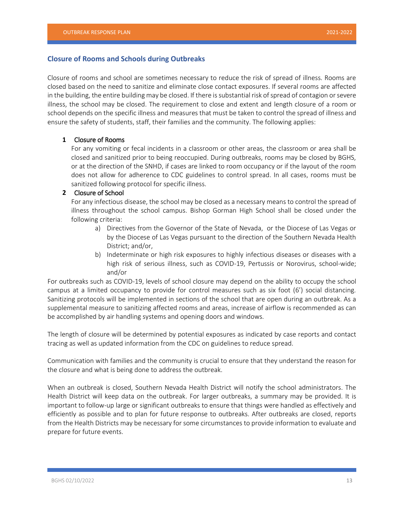### **Closure of Rooms and Schools during Outbreaks**

Closure of rooms and school are sometimes necessary to reduce the risk of spread of illness. Rooms are closed based on the need to sanitize and eliminate close contact exposures. If several rooms are affected in the building, the entire building may be closed. If there is substantial risk of spread of contagion or severe illness, the school may be closed. The requirement to close and extent and length closure of a room or school depends on the specific illness and measures that must be taken to control the spread of illness and ensure the safety of students, staff, their families and the community. The following applies:

### **1** Closure of Rooms

For any vomiting or fecal incidents in a classroom or other areas, the classroom or area shall be closed and sanitized prior to being reoccupied. During outbreaks, rooms may be closed by BGHS, or at the direction of the SNHD, if cases are linked to room occupancy or if the layout of the room does not allow for adherence to CDC guidelines to control spread. In all cases, rooms must be sanitized following protocol for specific illness.

### **2** Closure of School

For any infectious disease, the school may be closed as a necessary means to control the spread of illness throughout the school campus. Bishop Gorman High School shall be closed under the following criteria:

- a) Directives from the Governor of the State of Nevada, or the Diocese of Las Vegas or by the Diocese of Las Vegas pursuant to the direction of the Southern Nevada Health District; and/or,
- b) Indeterminate or high risk exposures to highly infectious diseases or diseases with a high risk of serious illness, such as COVID-19, Pertussis or Norovirus, school-wide; and/or

For outbreaks such as COVID-19, levels of school closure may depend on the ability to occupy the school campus at a limited occupancy to provide for control measures such as six foot (6') social distancing. Sanitizing protocols will be implemented in sections of the school that are open during an outbreak. As a supplemental measure to sanitizing affected rooms and areas, increase of airflow is recommended as can be accomplished by air handling systems and opening doors and windows.

The length of closure will be determined by potential exposures as indicated by case reports and contact tracing as well as updated information from the CDC on guidelines to reduce spread.

Communication with families and the community is crucial to ensure that they understand the reason for the closure and what is being done to address the outbreak.

When an outbreak is closed, Southern Nevada Health District will notify the school administrators. The Health District will keep data on the outbreak. For larger outbreaks, a summary may be provided. It is important to follow-up large or significant outbreaks to ensure that things were handled as effectively and efficiently as possible and to plan for future response to outbreaks. After outbreaks are closed, reports from the Health Districts may be necessary for some circumstances to provide information to evaluate and prepare for future events.